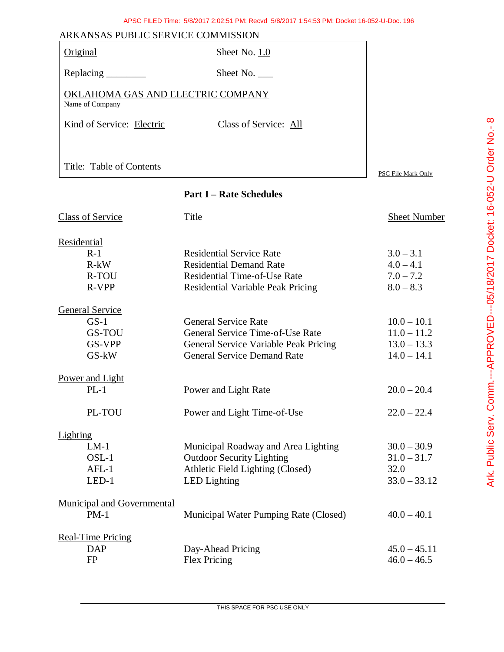| ARKANSAS PUBLIC SERVICE COMMISSION                   |                       |                    |
|------------------------------------------------------|-----------------------|--------------------|
| Original                                             | Sheet No. 1.0         |                    |
| Replacing _________                                  | Sheet No. $\_\_$      |                    |
| OKLAHOMA GAS AND ELECTRIC COMPANY<br>Name of Company |                       |                    |
| Kind of Service: Electric                            | Class of Service: All |                    |
|                                                      |                       |                    |
| Title: Table of Contents                             |                       | PSC File Mark Only |

# **Part I – Rate Schedules**

| <b>Class of Service</b>           | Title                                    | Sheet Number   |
|-----------------------------------|------------------------------------------|----------------|
| Residential                       |                                          |                |
| $R-1$                             | <b>Residential Service Rate</b>          | $3.0 - 3.1$    |
| $R-kW$                            | <b>Residential Demand Rate</b>           | $4.0 - 4.1$    |
| R-TOU                             | <b>Residential Time-of-Use Rate</b>      | $7.0 - 7.2$    |
| R-VPP                             | <b>Residential Variable Peak Pricing</b> | $8.0 - 8.3$    |
| General Service                   |                                          |                |
| $GS-1$                            | <b>General Service Rate</b>              | $10.0 - 10.1$  |
| GS-TOU                            | General Service Time-of-Use Rate         | $11.0 - 11.2$  |
| GS-VPP                            | General Service Variable Peak Pricing    | $13.0 - 13.3$  |
| GS-kW                             | <b>General Service Demand Rate</b>       | $14.0 - 14.1$  |
| Power and Light                   |                                          |                |
| $PL-1$                            | Power and Light Rate                     | $20.0 - 20.4$  |
| PL-TOU                            | Power and Light Time-of-Use              | $22.0 - 22.4$  |
| Lighting                          |                                          |                |
| $LM-1$                            | Municipal Roadway and Area Lighting      | $30.0 - 30.9$  |
| $OSL-1$                           | <b>Outdoor Security Lighting</b>         | $31.0 - 31.7$  |
| $AFL-1$                           | Athletic Field Lighting (Closed)         | 32.0           |
| $LED-1$                           | <b>LED</b> Lighting                      | $33.0 - 33.12$ |
| <b>Municipal and Governmental</b> |                                          |                |
| $PM-1$                            | Municipal Water Pumping Rate (Closed)    | $40.0 - 40.1$  |
| <b>Real-Time Pricing</b>          |                                          |                |
| <b>DAP</b>                        | Day-Ahead Pricing                        | $45.0 - 45.11$ |
| <b>FP</b>                         | Flex Pricing                             | $46.0 - 46.5$  |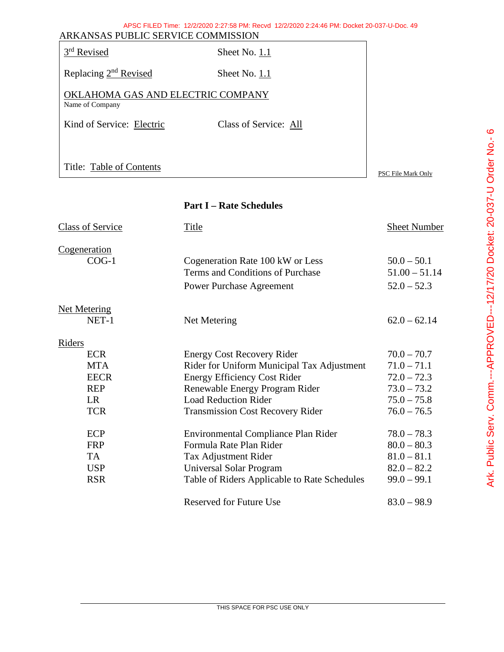| ARKANSAS PUBLIC SERVICE COMMISSION                   | APSC FILED Time: 12/2/2020 2:27:58 PM: Recvd 12/2/2020 2:24:46 PM: Docket 20-037-U-Doc. 49 |
|------------------------------------------------------|--------------------------------------------------------------------------------------------|
| 3rd Revised                                          | Sheet No. 1.1                                                                              |
| Replacing 2 <sup>nd</sup> Revised                    | Sheet No. 1.1                                                                              |
| OKLAHOMA GAS AND ELECTRIC COMPANY<br>Name of Company |                                                                                            |
| Kind of Service: Electric                            | Class of Service: All                                                                      |
|                                                      |                                                                                            |
| Title: Table of Contents                             | PSC File Mark Only                                                                         |
|                                                      |                                                                                            |

# **Part I – Rate Schedules**

| <b>Class of Service</b> | Title                                        | <b>Sheet Number</b> |
|-------------------------|----------------------------------------------|---------------------|
| Cogeneration            |                                              |                     |
| $COG-1$                 | Cogeneration Rate 100 kW or Less             | $50.0 - 50.1$       |
|                         | Terms and Conditions of Purchase             | $51.00 - 51.14$     |
|                         | <b>Power Purchase Agreement</b>              | $52.0 - 52.3$       |
| <b>Net Metering</b>     |                                              |                     |
| NET-1                   | Net Metering                                 | $62.0 - 62.14$      |
| <b>Riders</b>           |                                              |                     |
| <b>ECR</b>              | <b>Energy Cost Recovery Rider</b>            | $70.0 - 70.7$       |
| <b>MTA</b>              | Rider for Uniform Municipal Tax Adjustment   | $71.0 - 71.1$       |
| <b>EECR</b>             | <b>Energy Efficiency Cost Rider</b>          | $72.0 - 72.3$       |
| <b>REP</b>              | Renewable Energy Program Rider               | $73.0 - 73.2$       |
| LR                      | <b>Load Reduction Rider</b>                  | $75.0 - 75.8$       |
| <b>TCR</b>              | <b>Transmission Cost Recovery Rider</b>      | $76.0 - 76.5$       |
| ECP                     | Environmental Compliance Plan Rider          | $78.0 - 78.3$       |
| <b>FRP</b>              | Formula Rate Plan Rider                      | $80.0 - 80.3$       |
| TA                      | Tax Adjustment Rider                         | $81.0 - 81.1$       |
| <b>USP</b>              | Universal Solar Program                      | $82.0 - 82.2$       |
| <b>RSR</b>              | Table of Riders Applicable to Rate Schedules | $99.0 - 99.1$       |
|                         | <b>Reserved for Future Use</b>               | $83.0 - 98.9$       |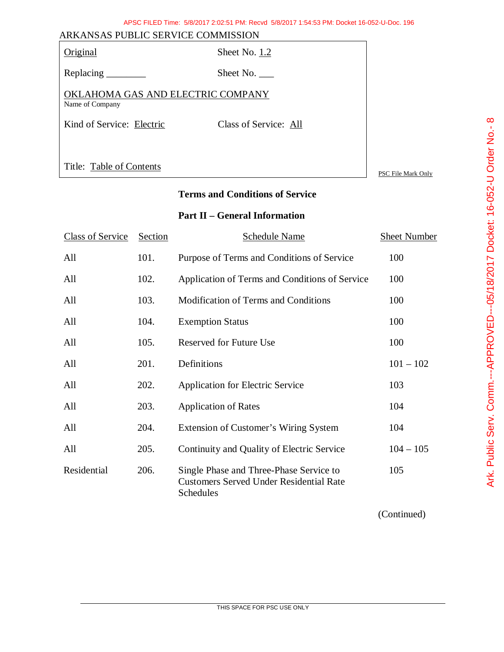| APSC FILED Time: 5/8/2017 2:02:51 PM: Recyd 5/8/2017 1:54:53 PM: Docket 16-052-U-Doc. 196 |  |
|-------------------------------------------------------------------------------------------|--|
| A C DI IDI IC CEDVICE COMMICCIONI                                                         |  |

| ARKANSAS PUBLIC SERVICE COMMISSION                   |                       |                    |
|------------------------------------------------------|-----------------------|--------------------|
| Original                                             | Sheet No. 1.2         |                    |
|                                                      | Sheet No.             |                    |
| OKLAHOMA GAS AND ELECTRIC COMPANY<br>Name of Company |                       |                    |
| Kind of Service: Electric                            | Class of Service: All |                    |
|                                                      |                       |                    |
| Title: Table of Contents                             |                       | PSC File Mark Only |

### **Terms and Conditions of Service**

# **Part II – General Information**

| <b>Class of Service</b> | Section | <b>Schedule Name</b>                                                                                   | <b>Sheet Number</b> |
|-------------------------|---------|--------------------------------------------------------------------------------------------------------|---------------------|
| All                     | 101.    | Purpose of Terms and Conditions of Service                                                             | 100                 |
| All                     | 102.    | Application of Terms and Conditions of Service                                                         | 100                 |
| All                     | 103.    | <b>Modification of Terms and Conditions</b>                                                            | 100                 |
| All                     | 104.    | <b>Exemption Status</b>                                                                                | 100                 |
| All                     | 105.    | <b>Reserved for Future Use</b>                                                                         | 100                 |
| All                     | 201.    | Definitions                                                                                            | $101 - 102$         |
| All                     | 202.    | <b>Application for Electric Service</b>                                                                | 103                 |
| All                     | 203.    | <b>Application of Rates</b>                                                                            | 104                 |
| All                     | 204.    | <b>Extension of Customer's Wiring System</b>                                                           | 104                 |
| All                     | 205.    | Continuity and Quality of Electric Service                                                             | $104 - 105$         |
| Residential             | 206.    | Single Phase and Three-Phase Service to<br><b>Customers Served Under Residential Rate</b><br>Schedules | 105                 |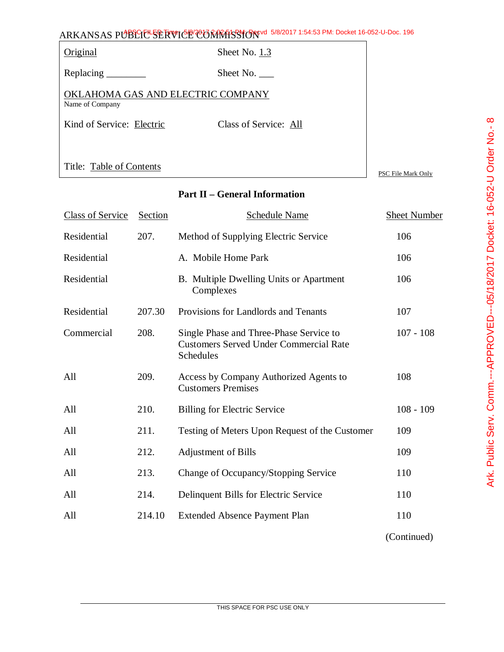|                                                      | ARKANSAS PUBLIC <sup>L</sup> SERVICE COMMISSION 5/8/2017 1:54:53 PM: Docket 16-052-U-Doc. 196 |                  |
|------------------------------------------------------|-----------------------------------------------------------------------------------------------|------------------|
| Original                                             | Sheet No. 1.3                                                                                 |                  |
| Replacing                                            | Sheet No.                                                                                     |                  |
| OKLAHOMA GAS AND ELECTRIC COMPANY<br>Name of Company |                                                                                               |                  |
| Kind of Service: Electric                            | Class of Service: All                                                                         |                  |
|                                                      |                                                                                               |                  |
| Title: Table of Contents                             |                                                                                               | <b>DOM DILLE</b> |

# **Part II – General Information**

| <b>Class of Service</b> | Section | Schedule Name                                                                                         | Sheet Number |
|-------------------------|---------|-------------------------------------------------------------------------------------------------------|--------------|
| Residential             | 207.    | Method of Supplying Electric Service                                                                  | 106          |
| Residential             |         | A. Mobile Home Park                                                                                   | 106          |
| Residential             |         | B. Multiple Dwelling Units or Apartment<br>Complexes                                                  | 106          |
| Residential             | 207.30  | Provisions for Landlords and Tenants                                                                  | 107          |
| Commercial              | 208.    | Single Phase and Three-Phase Service to<br><b>Customers Served Under Commercial Rate</b><br>Schedules | $107 - 108$  |
| All                     | 209.    | Access by Company Authorized Agents to<br><b>Customers Premises</b>                                   | 108          |
| All                     | 210.    | <b>Billing for Electric Service</b>                                                                   | $108 - 109$  |
| All                     | 211.    | Testing of Meters Upon Request of the Customer                                                        | 109          |
| All                     | 212.    | <b>Adjustment of Bills</b>                                                                            | 109          |
| All                     | 213.    | Change of Occupancy/Stopping Service                                                                  | 110          |
| All                     | 214.    | Delinquent Bills for Electric Service                                                                 | 110          |
| All                     | 214.10  | <b>Extended Absence Payment Plan</b>                                                                  | 110          |
|                         |         |                                                                                                       | (Continued)  |

Ark. Public Serv. Comm.---APPROVED--05/18/2017 Docket: 16-052-U Order No.- 8 Ark. Public Serv. Comm.---APPROVED---05/18/2017 Docket: 16-052-U Order No.- 8

PSC File Mark Only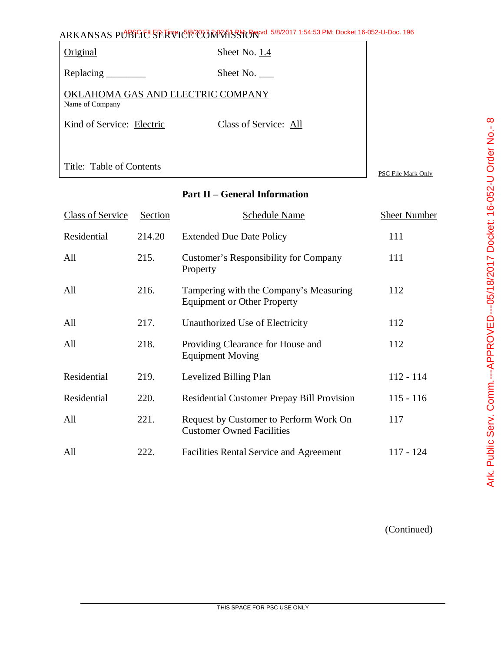| ARKANSAS PUBLIC <sup>L</sup> SERVICE COMMISSION 5/8/2017 1:54:53 PM: Docket 16-052-U-Doc. 196 |                       |                  |
|-----------------------------------------------------------------------------------------------|-----------------------|------------------|
| Original                                                                                      | Sheet No. 1.4         |                  |
| Replacing                                                                                     | Sheet No.             |                  |
| OKLAHOMA GAS AND ELECTRIC COMPANY<br>Name of Company                                          |                       |                  |
| Kind of Service: Electric                                                                     | Class of Service: All |                  |
|                                                                                               |                       |                  |
| Title: Table of Contents                                                                      |                       | <b>DOM DUE 3</b> |

### **Part II – General Information**

| <b>Class of Service</b> | Section | <b>Schedule Name</b>                                                         | <b>Sheet Number</b> |
|-------------------------|---------|------------------------------------------------------------------------------|---------------------|
| Residential             | 214.20  | <b>Extended Due Date Policy</b>                                              | 111                 |
| All                     | 215.    | Customer's Responsibility for Company<br>Property                            | 111                 |
| All                     | 216.    | Tampering with the Company's Measuring<br><b>Equipment or Other Property</b> | 112                 |
| All                     | 217.    | Unauthorized Use of Electricity                                              | 112                 |
| All                     | 218.    | Providing Clearance for House and<br><b>Equipment Moving</b>                 | 112                 |
| Residential             | 219.    | Levelized Billing Plan                                                       | $112 - 114$         |
| Residential             | 220.    | <b>Residential Customer Prepay Bill Provision</b>                            | $115 - 116$         |
| All                     | 221.    | Request by Customer to Perform Work On<br><b>Customer Owned Facilities</b>   | 117                 |
| All                     | 222.    | <b>Facilities Rental Service and Agreement</b>                               | 117 - 124           |

(Continued)

PSC File Mark Only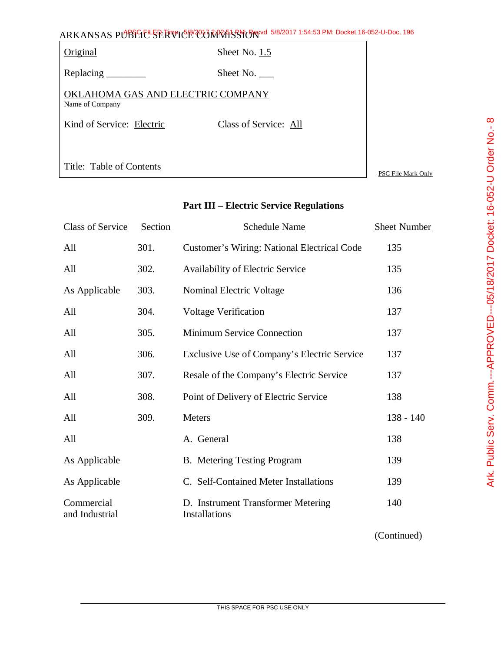|                                                      | ARKANSAS PUBLIC SERVICE CONRESSION 5/8/2017 1:54:53 PM: Docket 16-052-U-Doc. 196 |
|------------------------------------------------------|----------------------------------------------------------------------------------|
| Original                                             | Sheet No. 1.5                                                                    |
| Replacing                                            | Sheet No.                                                                        |
| OKLAHOMA GAS AND ELECTRIC COMPANY<br>Name of Company |                                                                                  |
| Kind of Service: Electric                            | Class of Service: All                                                            |
|                                                      |                                                                                  |
| Title: Table of Contents                             | PSC File Mark Only                                                               |

# **Part III – Electric Service Regulations**

| <b>Class of Service</b>      | Section | <b>Schedule Name</b>                                | <b>Sheet Number</b> |
|------------------------------|---------|-----------------------------------------------------|---------------------|
| All                          | 301.    | Customer's Wiring: National Electrical Code         | 135                 |
| All                          | 302.    | Availability of Electric Service                    | 135                 |
| As Applicable                | 303.    | Nominal Electric Voltage                            | 136                 |
| All                          | 304.    | <b>Voltage Verification</b>                         | 137                 |
| All                          | 305.    | <b>Minimum Service Connection</b>                   | 137                 |
| All                          | 306.    | Exclusive Use of Company's Electric Service         | 137                 |
| All                          | 307.    | Resale of the Company's Electric Service            | 137                 |
| All                          | 308.    | Point of Delivery of Electric Service               | 138                 |
| All                          | 309.    | Meters                                              | $138 - 140$         |
| All                          |         | A. General                                          | 138                 |
| As Applicable                |         | <b>B.</b> Metering Testing Program                  | 139                 |
| As Applicable                |         | C. Self-Contained Meter Installations               | 139                 |
| Commercial<br>and Industrial |         | D. Instrument Transformer Metering<br>Installations | 140                 |
|                              |         |                                                     |                     |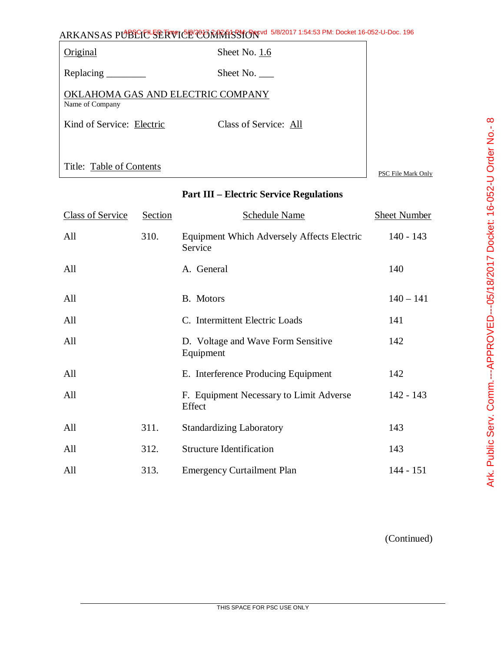|                                                      | ARKANSAS PUBLIC <sup>L</sup> SERVICE CONRESSION <sup>e 5/8/2017</sup> 1:54:53 PM: Docket 16-052-U-Doc. 196 |                    |
|------------------------------------------------------|------------------------------------------------------------------------------------------------------------|--------------------|
| <b>Original</b>                                      | Sheet No. 1.6                                                                                              |                    |
| Replacing $\_\_\_\_\_\_\_\_\_\_\$                    | Sheet No. $\_\_$                                                                                           |                    |
| OKLAHOMA GAS AND ELECTRIC COMPANY<br>Name of Company |                                                                                                            |                    |
| Kind of Service: Electric                            | Class of Service: All                                                                                      |                    |
|                                                      |                                                                                                            |                    |
| Title: Table of Contents                             |                                                                                                            | PSC File Mark Only |

|  | <b>Part III – Electric Service Regulations</b> |
|--|------------------------------------------------|
|  |                                                |

| <b>Class of Service</b> | Section | <b>Schedule Name</b>                                         | <b>Sheet Number</b> |
|-------------------------|---------|--------------------------------------------------------------|---------------------|
| All                     | 310.    | <b>Equipment Which Adversely Affects Electric</b><br>Service | $140 - 143$         |
| All                     |         | A. General                                                   | 140                 |
| All                     |         | B. Motors                                                    | $140 - 141$         |
| All                     |         | C. Intermittent Electric Loads                               | 141                 |
| All                     |         | D. Voltage and Wave Form Sensitive<br>Equipment              | 142                 |
| All                     |         | E. Interference Producing Equipment                          | 142                 |
| All                     |         | F. Equipment Necessary to Limit Adverse<br>Effect            | $142 - 143$         |
| All                     | 311.    | <b>Standardizing Laboratory</b>                              | 143                 |
| All                     | 312.    | <b>Structure Identification</b>                              | 143                 |
| All                     | 313.    | <b>Emergency Curtailment Plan</b>                            | $144 - 151$         |

Ark. Public Serv. Comm.---APPROVED---05/18/2017 Docket: 16-052-U Order No.- 8 Ark. Public Serv. Comm.---APPROVED---05/18/2017 Docket: 16-052-U Order No.- 8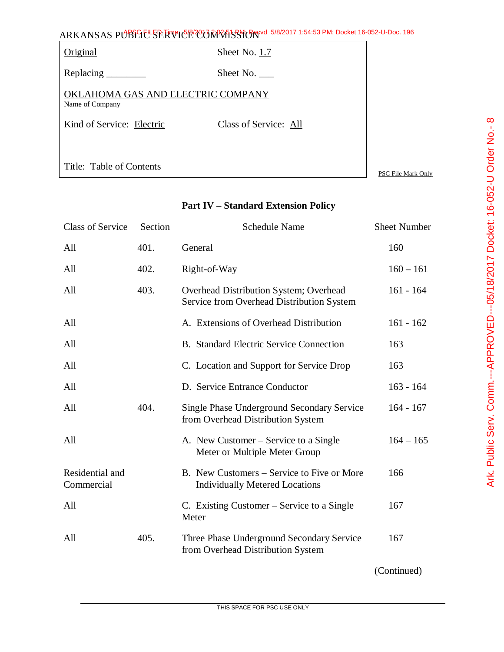|                                   | ARKANSAS PUBLIC SERVICE CORRATSSION 5/8/2017 1:54:53 PM: Docket 16-052-U-Doc. 196 |  |
|-----------------------------------|-----------------------------------------------------------------------------------|--|
| Original                          | Sheet No. 1.7                                                                     |  |
|                                   | Sheet No.                                                                         |  |
| OKLAHOMA GAS AND ELECTRIC COMPANY |                                                                                   |  |

Name of Company

Kind of Service: Electric Class of Service: All

Title: Table of Contents

PSC File Mark Only

## **Part IV – Standard Extension Policy**

| <b>Class of Service</b>       | Section | Schedule Name                                                                          | <b>Sheet Number</b> |
|-------------------------------|---------|----------------------------------------------------------------------------------------|---------------------|
| All                           | 401.    | General                                                                                | 160                 |
| All                           | 402.    | Right-of-Way                                                                           | $160 - 161$         |
| All                           | 403.    | Overhead Distribution System; Overhead<br>Service from Overhead Distribution System    | $161 - 164$         |
| All                           |         | A. Extensions of Overhead Distribution                                                 | $161 - 162$         |
| All                           |         | <b>B.</b> Standard Electric Service Connection                                         | 163                 |
| All                           |         | C. Location and Support for Service Drop                                               | 163                 |
| All                           |         | D. Service Entrance Conductor                                                          | $163 - 164$         |
| All                           | 404.    | <b>Single Phase Underground Secondary Service</b><br>from Overhead Distribution System | $164 - 167$         |
| All                           |         | A. New Customer – Service to a Single<br>Meter or Multiple Meter Group                 | $164 - 165$         |
| Residential and<br>Commercial |         | B. New Customers – Service to Five or More<br><b>Individually Metered Locations</b>    | 166                 |
| All                           |         | C. Existing Customer – Service to a Single<br>Meter                                    | 167                 |
| All                           | 405.    | Three Phase Underground Secondary Service<br>from Overhead Distribution System         | 167                 |
|                               |         |                                                                                        |                     |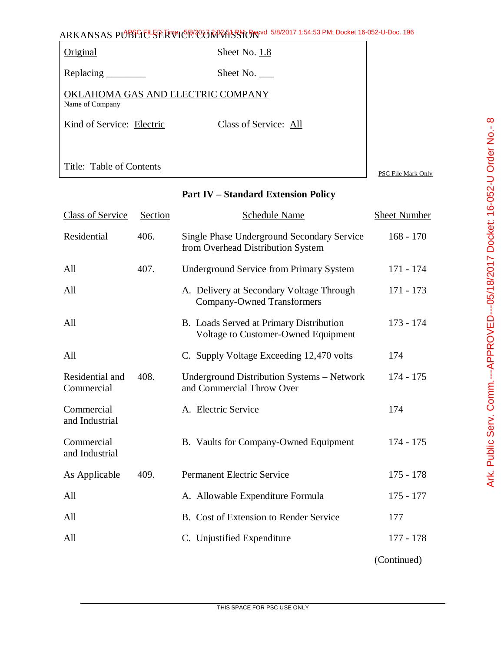|                                                      | ARKANSAS PUBLIC <sup>L</sup> SERVICE CONRESSION <sup>e 5/8/2017</sup> 1:54:53 PM: Docket 16-052-U-Doc. 196 |                    |
|------------------------------------------------------|------------------------------------------------------------------------------------------------------------|--------------------|
| <b>Original</b>                                      | Sheet No. 1.8                                                                                              |                    |
| Replacing $\_\_\_\_\_\_\_\_\_\_\$                    | Sheet No. $\_\_$                                                                                           |                    |
| OKLAHOMA GAS AND ELECTRIC COMPANY<br>Name of Company |                                                                                                            |                    |
| Kind of Service: Electric                            | Class of Service: All                                                                                      |                    |
|                                                      |                                                                                                            |                    |
| Title: Table of Contents                             |                                                                                                            | PSC File Mark Only |

### **Part IV – Standard Extension Policy**

| <b>Class of Service</b>       | Section | <b>Schedule Name</b>                                                                   | <b>Sheet Number</b> |
|-------------------------------|---------|----------------------------------------------------------------------------------------|---------------------|
| Residential                   | 406.    | <b>Single Phase Underground Secondary Service</b><br>from Overhead Distribution System | $168 - 170$         |
| All                           | 407.    | <b>Underground Service from Primary System</b>                                         | $171 - 174$         |
| All                           |         | A. Delivery at Secondary Voltage Through<br><b>Company-Owned Transformers</b>          | 171 - 173           |
| All                           |         | B. Loads Served at Primary Distribution<br>Voltage to Customer-Owned Equipment         | $173 - 174$         |
| All                           |         | C. Supply Voltage Exceeding 12,470 volts                                               | 174                 |
| Residential and<br>Commercial | 408.    | Underground Distribution Systems - Network<br>and Commercial Throw Over                | $174 - 175$         |
| Commercial<br>and Industrial  |         | A. Electric Service                                                                    | 174                 |
| Commercial<br>and Industrial  |         | B. Vaults for Company-Owned Equipment                                                  | $174 - 175$         |
| As Applicable                 | 409.    | <b>Permanent Electric Service</b>                                                      | $175 - 178$         |
| All                           |         | A. Allowable Expenditure Formula                                                       | $175 - 177$         |
| All                           |         | B. Cost of Extension to Render Service                                                 | 177                 |
| All                           |         | C. Unjustified Expenditure                                                             | 177 - 178           |
|                               |         |                                                                                        |                     |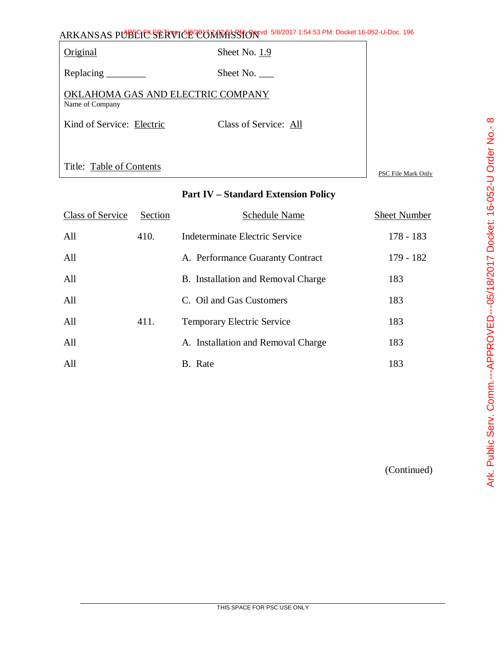|                                                      | ARKANSAS PUBLIC <sup>L</sup> SERVICE CONRESSION <sup>e 5/8/2017</sup> 1:54:53 PM: Docket 16-052-U-Doc. 196 |                    |
|------------------------------------------------------|------------------------------------------------------------------------------------------------------------|--------------------|
| Original                                             | Sheet No. 1.9                                                                                              |                    |
|                                                      | Sheet No.                                                                                                  |                    |
| OKLAHOMA GAS AND ELECTRIC COMPANY<br>Name of Company |                                                                                                            |                    |
| Kind of Service: Electric                            | Class of Service: All                                                                                      |                    |
|                                                      |                                                                                                            |                    |
| Title: Table of Contents                             |                                                                                                            | PSC File Mark Only |

# **Part IV – Standard Extension Policy**

| <b>Class of Service</b> | Section | Schedule Name                      | <b>Sheet Number</b> |
|-------------------------|---------|------------------------------------|---------------------|
| All                     | 410.    | Indeterminate Electric Service     | $178 - 183$         |
| All                     |         | A. Performance Guaranty Contract   | $179 - 182$         |
| All                     |         | B. Installation and Removal Charge | 183                 |
| All                     |         | C. Oil and Gas Customers           | 183                 |
| All                     | 411.    | <b>Temporary Electric Service</b>  | 183                 |
| All                     |         | A. Installation and Removal Charge | 183                 |
| All                     |         | B. Rate                            | 183                 |